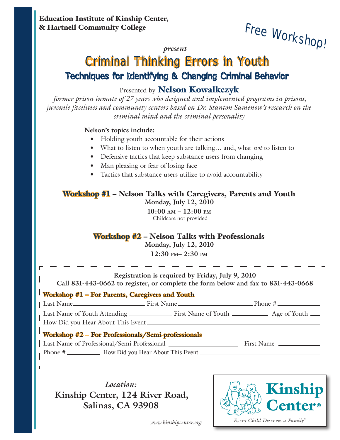*present* **Free Workshop!**

*Every Child Deserves a Family™*

# **Criminal Thinking Errors in Youth** Techniques for Identifying & Changing Criminal Behavior

### Presented by Nelson Kowalkczyk

*former prison inmate of 27 years who designed and implemented programs in prisons, juvenile facilities and community centers based on Dr. Stanton Samenow's research on the criminal mind and the criminal personality*

#### **Nelson's topics include:**

- Holding youth accountable for their actions
- What to listen to when youth are talking… and, what *not* to listen to
- Defensive tactics that keep substance users from changing
- Man pleasing or fear of losing face
- Tactics that substance users utilize to avoid accountability

#### Workshop #1 – Nelson Talks with Caregivers, Parents and Youth **Monday, July 12, 2010**

**10:00 am – 12:00 pm** Childcare not provided

### Workshop #2 – Nelson Talks with Professionals

**Monday, July 12, 2010 12:30 pm– 2:30 pm**

| Registration is required by Friday, July 9, 2010<br>Call 831-443-0662 to register, or complete the form below and fax to 831-443-0668 |                            |
|---------------------------------------------------------------------------------------------------------------------------------------|----------------------------|
| Workshop #1 – For Parents, Caregivers and Youth                                                                                       |                            |
|                                                                                                                                       |                            |
| How Did you Hear About This Event                                                                                                     |                            |
| Workshop #2 - For Professionals/Semi-professionals                                                                                    |                            |
|                                                                                                                                       |                            |
|                                                                                                                                       |                            |
|                                                                                                                                       |                            |
| Location:<br>Kinship Center, 124 River Road,<br>Salinas, CA 93908                                                                     | Kinship<br><b>Center</b> ® |

*www.kinshipcenter.org*